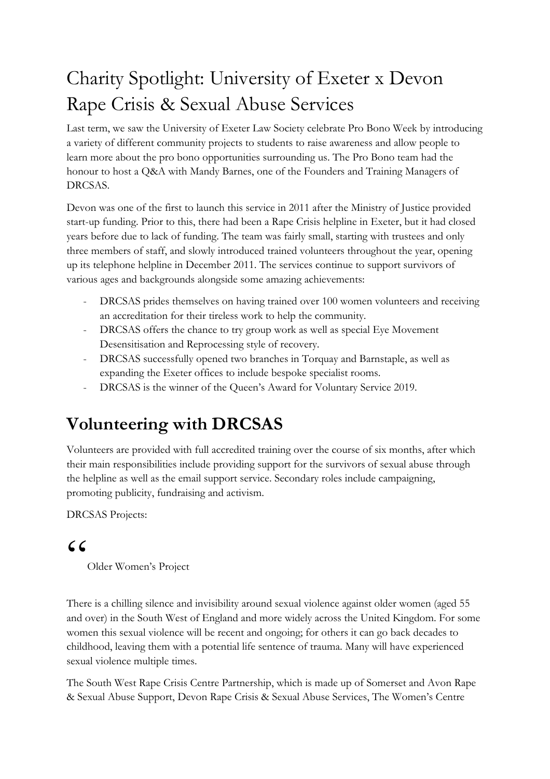# Charity Spotlight: University of Exeter x Devon Rape Crisis & Sexual Abuse Services

Last term, we saw the University of Exeter Law Society celebrate Pro Bono Week by introducing a variety of different community projects to students to raise awareness and allow people to learn more about the pro bono opportunities surrounding us. The Pro Bono team had the honour to host a Q&A with Mandy Barnes, one of the Founders and Training Managers of DRCSAS.

Devon was one of the first to launch this service in 2011 after the Ministry of Justice provided start-up funding. Prior to this, there had been a Rape Crisis helpline in Exeter, but it had closed years before due to lack of funding. The team was fairly small, starting with trustees and only three members of staff, and slowly introduced trained volunteers throughout the year, opening up its telephone helpline in December 2011. The services continue to support survivors of various ages and backgrounds alongside some amazing achievements:

- DRCSAS prides themselves on having trained over 100 women volunteers and receiving an accreditation for their tireless work to help the community.
- DRCSAS offers the chance to try group work as well as special Eye Movement Desensitisation and Reprocessing style of recovery.
- DRCSAS successfully opened two branches in Torquay and Barnstaple, as well as expanding the Exeter offices to include bespoke specialist rooms.
- DRCSAS is the winner of the Queen's Award for Voluntary Service 2019.

## **Volunteering with DRCSAS**

Volunteers are provided with full accredited training over the course of six months, after which their main responsibilities include providing support for the survivors of sexual abuse through the helpline as well as the email support service. Secondary roles include campaigning, promoting publicity, fundraising and activism.

DRCSAS Projects:

### $C$

Older Women's Project

There is a chilling silence and invisibility around sexual violence against older women (aged 55 and over) in the South West of England and more widely across the United Kingdom. For some women this sexual violence will be recent and ongoing; for others it can go back decades to childhood, leaving them with a potential life sentence of trauma. Many will have experienced sexual violence multiple times.

The South West Rape Crisis Centre Partnership, which is made up of Somerset and Avon Rape & Sexual Abuse Support, Devon Rape Crisis & Sexual Abuse Services, The Women's Centre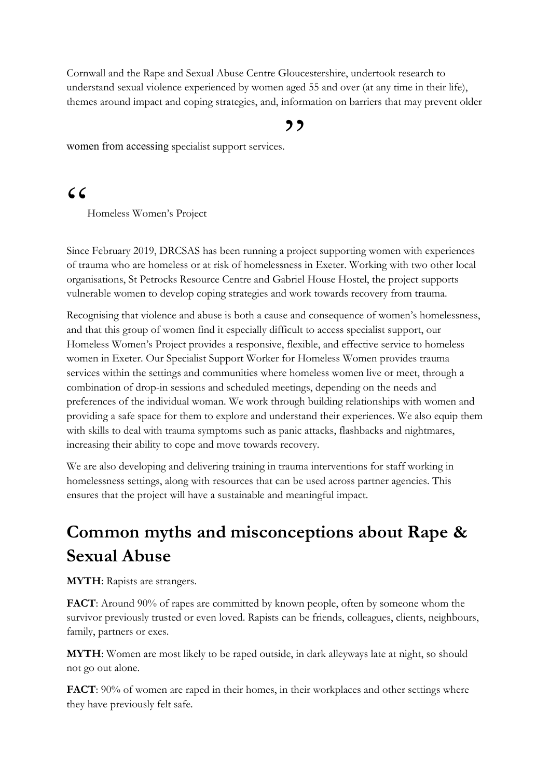Cornwall and the Rape and Sexual Abuse Centre Gloucestershire, undertook research to understand sexual violence experienced by women aged 55 and over (at any time in their life), themes around impact and coping strategies, and, information on barriers that may prevent older

#### ,,

women from accessing specialist support services.

 $C$ 

Homeless Women's Project

Since February 2019, DRCSAS has been running a project supporting women with experiences of trauma who are homeless or at risk of homelessness in Exeter. Working with two other local organisations, St Petrocks Resource Centre and Gabriel House Hostel, the project supports vulnerable women to develop coping strategies and work towards recovery from trauma.

Recognising that violence and abuse is both a cause and consequence of women's homelessness, and that this group of women find it especially difficult to access specialist support, our Homeless Women's Project provides a responsive, flexible, and effective service to homeless women in Exeter. Our Specialist Support Worker for Homeless Women provides trauma services within the settings and communities where homeless women live or meet, through a combination of drop-in sessions and scheduled meetings, depending on the needs and preferences of the individual woman. We work through building relationships with women and providing a safe space for them to explore and understand their experiences. We also equip them with skills to deal with trauma symptoms such as panic attacks, flashbacks and nightmares, increasing their ability to cope and move towards recovery.

We are also developing and delivering training in trauma interventions for staff working in homelessness settings, along with resources that can be used across partner agencies. This ensures that the project will have a sustainable and meaningful impact.

### **Common myths and misconceptions about Rape & Sexual Abuse**

**MYTH**: Rapists are strangers.

**FACT**: Around 90% of rapes are committed by known people, often by someone whom the survivor previously trusted or even loved. Rapists can be friends, colleagues, clients, neighbours, family, partners or exes.

**MYTH**: Women are most likely to be raped outside, in dark alleyways late at night, so should not go out alone.

**FACT**: 90% of women are raped in their homes, in their workplaces and other settings where they have previously felt safe.